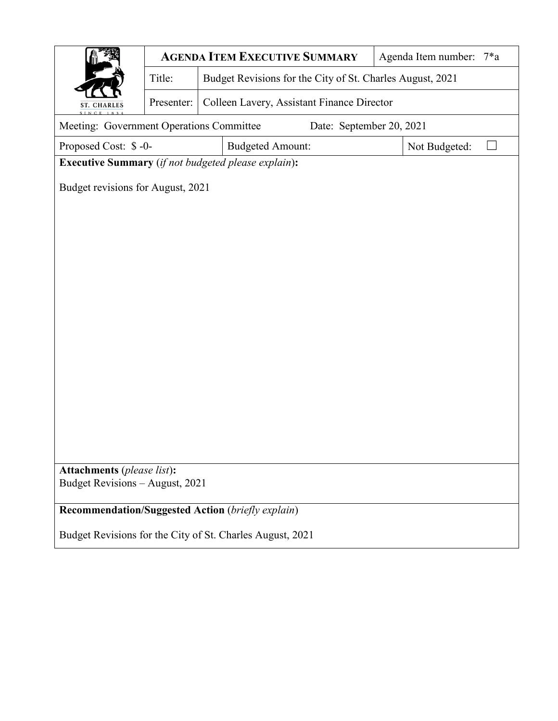|                                                                      |            |                                                           | <b>AGENDA ITEM EXECUTIVE SUMMARY</b>                      |               | Agenda Item number: 7*a |  |  |  |  |  |
|----------------------------------------------------------------------|------------|-----------------------------------------------------------|-----------------------------------------------------------|---------------|-------------------------|--|--|--|--|--|
|                                                                      | Title:     | Budget Revisions for the City of St. Charles August, 2021 |                                                           |               |                         |  |  |  |  |  |
| ST. CHARLES                                                          | Presenter: |                                                           | Colleen Lavery, Assistant Finance Director                |               |                         |  |  |  |  |  |
| Meeting: Government Operations Committee<br>Date: September 20, 2021 |            |                                                           |                                                           |               |                         |  |  |  |  |  |
| Proposed Cost: \$-0-                                                 |            |                                                           | <b>Budgeted Amount:</b>                                   | Not Budgeted: |                         |  |  |  |  |  |
| <b>Executive Summary</b> (if not budgeted please explain):           |            |                                                           |                                                           |               |                         |  |  |  |  |  |
| Budget revisions for August, 2021                                    |            |                                                           |                                                           |               |                         |  |  |  |  |  |
|                                                                      |            |                                                           |                                                           |               |                         |  |  |  |  |  |
|                                                                      |            |                                                           |                                                           |               |                         |  |  |  |  |  |
|                                                                      |            |                                                           |                                                           |               |                         |  |  |  |  |  |
|                                                                      |            |                                                           |                                                           |               |                         |  |  |  |  |  |
|                                                                      |            |                                                           |                                                           |               |                         |  |  |  |  |  |
|                                                                      |            |                                                           |                                                           |               |                         |  |  |  |  |  |
|                                                                      |            |                                                           |                                                           |               |                         |  |  |  |  |  |
|                                                                      |            |                                                           |                                                           |               |                         |  |  |  |  |  |
|                                                                      |            |                                                           |                                                           |               |                         |  |  |  |  |  |
|                                                                      |            |                                                           |                                                           |               |                         |  |  |  |  |  |
|                                                                      |            |                                                           |                                                           |               |                         |  |  |  |  |  |
|                                                                      |            |                                                           |                                                           |               |                         |  |  |  |  |  |
|                                                                      |            |                                                           |                                                           |               |                         |  |  |  |  |  |
| <b>Attachments</b> (please list):                                    |            |                                                           |                                                           |               |                         |  |  |  |  |  |
| Budget Revisions - August, 2021                                      |            |                                                           |                                                           |               |                         |  |  |  |  |  |
| Recommendation/Suggested Action (briefly explain)                    |            |                                                           |                                                           |               |                         |  |  |  |  |  |
|                                                                      |            |                                                           | Budget Revisions for the City of St. Charles August, 2021 |               |                         |  |  |  |  |  |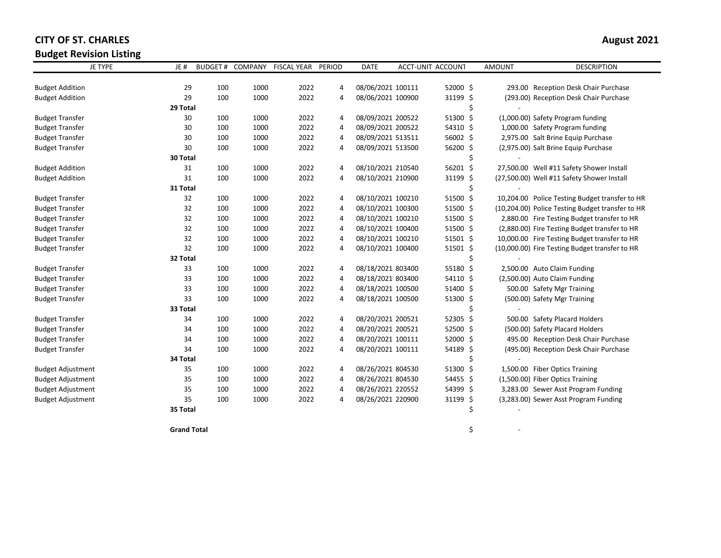**Budget Revision Listing**

| <b>CITY OF ST. CHARLES</b> | August 2021 |
|----------------------------|-------------|
| Duralde Deutstam Hetten    |             |

| <b>JE TYPE</b>           | JE#      |     | BUDGET # COMPANY | <b>FISCAL YEAR</b> | PERIOD         | <b>DATE</b>       | ACCT-UNIT ACCOUNT | <b>AMOUNT</b> | <b>DESCRIPTION</b>                               |
|--------------------------|----------|-----|------------------|--------------------|----------------|-------------------|-------------------|---------------|--------------------------------------------------|
| <b>Budget Addition</b>   | 29       | 100 | 1000             | 2022               | $\overline{4}$ | 08/06/2021 100111 | 52000 \$          |               | 293.00 Reception Desk Chair Purchase             |
| <b>Budget Addition</b>   | 29       | 100 | 1000             | 2022               | $\overline{4}$ | 08/06/2021 100900 | 31199 \$          |               | (293.00) Reception Desk Chair Purchase           |
|                          | 29 Total |     |                  |                    |                |                   |                   | Ś             |                                                  |
| <b>Budget Transfer</b>   | 30       | 100 | 1000             | 2022               | 4              | 08/09/2021 200522 | 51300 \$          |               | (1,000.00) Safety Program funding                |
| <b>Budget Transfer</b>   | 30       | 100 | 1000             | 2022               | 4              | 08/09/2021 200522 | 54310 \$          |               | 1,000.00 Safety Program funding                  |
| <b>Budget Transfer</b>   | 30       | 100 | 1000             | 2022               | $\overline{4}$ | 08/09/2021 513511 | 56002 \$          |               | 2,975.00 Salt Brine Equip Purchase               |
| <b>Budget Transfer</b>   | 30       | 100 | 1000             | 2022               | $\overline{4}$ | 08/09/2021 513500 | 56200 \$          |               | (2,975.00) Salt Brine Equip Purchase             |
|                          | 30 Total |     |                  |                    |                |                   |                   |               |                                                  |
| <b>Budget Addition</b>   | 31       | 100 | 1000             | 2022               | 4              | 08/10/2021 210540 | 56201 \$          |               | 27,500.00 Well #11 Safety Shower Install         |
| <b>Budget Addition</b>   | 31       | 100 | 1000             | 2022               | 4              | 08/10/2021 210900 | 31199 \$          |               | (27,500.00) Well #11 Safety Shower Install       |
|                          | 31 Total |     |                  |                    |                |                   |                   | Ś             |                                                  |
| <b>Budget Transfer</b>   | 32       | 100 | 1000             | 2022               | 4              | 08/10/2021 100210 | 51500 \$          |               | 10,204.00 Police Testing Budget transfer to HR   |
| <b>Budget Transfer</b>   | 32       | 100 | 1000             | 2022               | 4              | 08/10/2021 100300 | 51500 \$          |               | (10,204.00) Police Testing Budget transfer to HR |
| <b>Budget Transfer</b>   | 32       | 100 | 1000             | 2022               | 4              | 08/10/2021 100210 | 51500 \$          |               | 2,880.00 Fire Testing Budget transfer to HR      |
| <b>Budget Transfer</b>   | 32       | 100 | 1000             | 2022               | 4              | 08/10/2021 100400 | 51500 \$          |               | (2,880.00) Fire Testing Budget transfer to HR    |
| <b>Budget Transfer</b>   | 32       | 100 | 1000             | 2022               | $\overline{4}$ | 08/10/2021 100210 | $51501$ \$        |               | 10,000.00 Fire Testing Budget transfer to HR     |
| <b>Budget Transfer</b>   | 32       | 100 | 1000             | 2022               | $\overline{4}$ | 08/10/2021 100400 | 51501 \$          |               | (10,000.00) Fire Testing Budget transfer to HR   |
|                          | 32 Total |     |                  |                    |                |                   |                   | Ś             |                                                  |
| <b>Budget Transfer</b>   | 33       | 100 | 1000             | 2022               | 4              | 08/18/2021 803400 | 55180 \$          |               | 2,500.00 Auto Claim Funding                      |
| <b>Budget Transfer</b>   | 33       | 100 | 1000             | 2022               | $\overline{4}$ | 08/18/2021 803400 | 54110 \$          |               | (2,500.00) Auto Claim Funding                    |
| <b>Budget Transfer</b>   | 33       | 100 | 1000             | 2022               | $\overline{4}$ | 08/18/2021 100500 | 51400 \$          |               | 500.00 Safety Mgr Training                       |
| <b>Budget Transfer</b>   | 33       | 100 | 1000             | 2022               | 4              | 08/18/2021 100500 | 51300 \$          |               | (500.00) Safety Mgr Training                     |
|                          | 33 Total |     |                  |                    |                |                   |                   |               |                                                  |
| <b>Budget Transfer</b>   | 34       | 100 | 1000             | 2022               | $\overline{4}$ | 08/20/2021 200521 | 52305 \$          |               | 500.00 Safety Placard Holders                    |
| <b>Budget Transfer</b>   | 34       | 100 | 1000             | 2022               | 4              | 08/20/2021 200521 | 52500 \$          |               | (500.00) Safety Placard Holders                  |
| <b>Budget Transfer</b>   | 34       | 100 | 1000             | 2022               | $\overline{4}$ | 08/20/2021 100111 | 52000 \$          |               | 495.00 Reception Desk Chair Purchase             |
| <b>Budget Transfer</b>   | 34       | 100 | 1000             | 2022               | 4              | 08/20/2021 100111 | 54189 \$          |               | (495.00) Reception Desk Chair Purchase           |
|                          | 34 Total |     |                  |                    |                |                   |                   |               |                                                  |
| <b>Budget Adjustment</b> | 35       | 100 | 1000             | 2022               | 4              | 08/26/2021 804530 | 51300 \$          |               | 1,500.00 Fiber Optics Training                   |
| <b>Budget Adjustment</b> | 35       | 100 | 1000             | 2022               | 4              | 08/26/2021 804530 | 54455 \$          |               | (1,500.00) Fiber Optics Training                 |
| <b>Budget Adjustment</b> | 35       | 100 | 1000             | 2022               | $\overline{4}$ | 08/26/2021 220552 | 54399 \$          |               | 3,283.00 Sewer Asst Program Funding              |
| <b>Budget Adjustment</b> | 35       | 100 | 1000             | 2022               | 4              | 08/26/2021 220900 | 31199 \$          |               | (3,283.00) Sewer Asst Program Funding            |
|                          | 35 Total |     |                  |                    |                |                   |                   | Ś             |                                                  |

**Grand Total**  $\zeta$